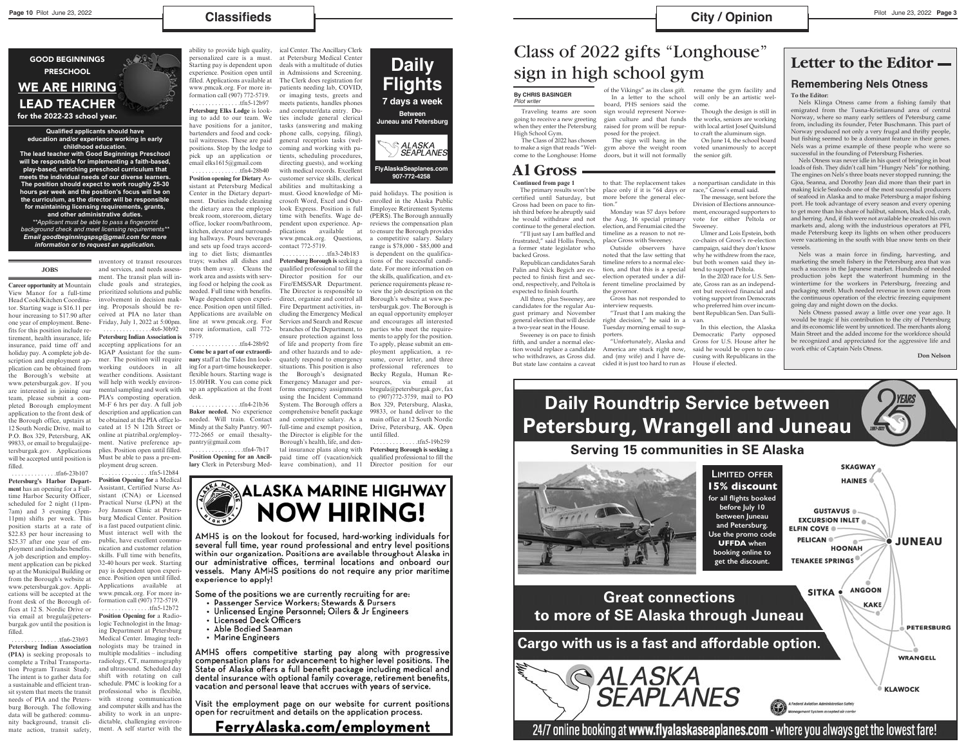### $$

#### **JOBS**

**Career opportunity at** Mountain View Manor for a full-time Head Cook/Kitchen Coordinator. Starting wage is \$16.11 per hour increasing to \$17.90 after one year of employment. Benefits for this position include retirement, health insurance, life insurance, paid time off and holiday pay. A complete job description and employment application can be obtained from the Borough's website at www.petersburgak.gov. If you are interested in joining our team, please submit a completed Borough employment application to the front desk of the Borough office, upstairs at 12 South Nordic Drive, mail to P.O. Box 329, Petersburg, AK 99833, or email to bregula@petersburgak.gov. Applications will be accepted until position is filled.

 . . . . . . . . . . . . . .tfn6-23b107 **Petersburg's Harbor Department** has an opening for a Fulltime Harbor Security Officer, scheduled for 2 night (11pm-7am) and 3 evening (3pm-11pm) shifts per week. This position starts at a rate of \$22.83 per hour increasing to \$25.37 after one year of employment and includes benefits. A job description and employment application can be picked up at the Municipal Building or from the Borough's website at www.petersburgak.gov. Applications will be accepted at the front desk of the Borough offices at 12 S. Nordic Drive or via email at bregula@petersburgak.gov until the position is filled. . . . . . . . . . . . . . . .tfn6-23b93 **Petersburg Indian Association (PIA)** is seeking proposals to complete a Tribal Transportation Program Transit Study. The intent is to gather data for a sustainable and efficient transit system that meets the transit needs of PIA and the Petersburg Borough. The following data will be gathered: community background, transit climate action, transit safety,

inventory of transit resources

and services, and needs assessment. The transit plan will include goals and strategies, prioritized solutions and public involvement in decision making. Proposals should be received at PIA no later than Friday, July 1, 2022 at 5:00pm. . . . . . . . . . . . . . . .4x6-30b92 **Petersburg Indian Association is** accepting applications for an IGAP Assistant for the summer. The position will require working outdoors in all weather conditions. Assistant will help with weekly environmental sampling and work with PIA's composting operation. M-F 6 hrs per day. A full job description and application can be obtained at the PIA office located at 15 N 12th Street or online at piatribal.org/employment. Native preference applies. Position open until filled. Must be able to pass a pre-employment drug screen.

 . . . . . . . . . . . . . . .tfn5-12b84 **Position Opening for** a Medical Assistant, Certified Nurse Assistant (CNA) or Licensed Practical Nurse (LPN) at the Joy Janssen Clinic at Petersburg Medical Center. Position is a fast paced outpatient clinic. Must interact well with the public, have excellent communication and customer relation skills. Full time with benefits, 32-40 hours per week. Starting pay is dependent upon experience. Position open until filled. Applications available at www.pmcak.org. For more information call (907) 772-5719. . . . . . . . . . . . . . . .tfn5-12b72 **Position Opening for** a Radiologic Technologist in the Imaging Department at Petersburg Medical Center. Imaging technologists may be trained in multiple modalities – including radiology, CT, mammography and ultrasound. Scheduled day shift with rotating on call schedule. PMC is looking for a professional who is flexible, with strong communication and computer skills and has the ability to work in an unpredictable, challenging environment. A self starter with the

ability to provide high quality, personalized care is a must. Starting pay is dependent upon experience. Position open until filled. Applications available at www.pmcak.org. For more information call (907) 772-5719.

 . . . . . . . . . . . . . . .tfn5-12b97 **Petersburg Elks Lodge** is looking to add to our team. We have positions for a janitor, bartenders and food and cocktail waitresses. These are paid positions. Stop by the lodge to pick up an application or email elks1615@gmail.com

 . . . . . . . . . . . . . . .tfn4-28b40 **Position opening for Dietary** Assistant at Petersburg Medical Center in the Dietary department. Duties include cleaning the dietary area the employee break room, storeroom, dietary office, locker room/bathroom, kitchen, elevator and surrounding hallways. Pours beverages and sets up food trays according to diet lists; dismantles trays; washes all dishes and puts them away. Cleans the work area and assists with serving food or helping the cook as needed. Full time with benefits. Wage dependent upon experience. Position open until filled. Applications are available on line at www.pmcak.org. For more information, call 772- 5719.

 . . . . . . . . . . . . . . .tfn4-28b92 **Come be a part of our extraordinary** staff at the Tides Inn looking for a part-time housekeeper. flexible hours. Starting wage is 15.00/HR. You can come pick up an application at the front desk.

 . . . . . . . . . . . . . . .tfn4-21b36 **Baker needed.** No experience needed. Will train. Contact Mindy at the Salty Pantry. 907- 772-2665 or email thesaltypantry@gmail.com

 . . . . . . . . . . . . . . . .tfn4-7b17 **Position Opening for an Ancillary** Clerk in Petersburg Med-

ical Center. The Ancillary Clerk at Petersburg Medical Center deals with a multitude of duties in Admissions and Screening. The Clerk does registration for patients needing lab, COVID, or imaging tests, greets and meets patients, handles phones and computer/data entry. Duties include general clerical tasks (answering and making phone calls, copying, filing), general reception tasks (welcoming and working with patients, scheduling procedures, directing guests), and working with medical records. Excellent customer service skills, clerical abilities and multitasking a must. Good knowledge of Microsoft Word, Excel and Outlook Express. Position is full time with benefits. Wage dependent upon experience. Applications available at www.pmcak.org. Questions, contact 772-5719.

 . . . . . . . . . . . . . .tfn3-24b183 **Petersburg Borough is** seeking a qualified professional to fill the Director position for our Fire/EMS/SAR Department. The Director is responsible to direct, organize and control all Fire Department activities, including the Emergency Medical Services and Search and Rescue branches of the Department, to ensure protection against loss of life and property from fire and other hazards and to adequately respond to emergency situations. This position is also the Borough's designated Emergency Manager and performs emergency assignments using the Incident Command System. The Borough offers a comprehensive benefit package and competitive salary. As a full-time and exempt position, the Director is eligible for the Borough's health, life, and dental insurance plans along with paid time off (vacation/sick leave combination), and 11

paid holidays. The position is enrolled in the Alaska Public Employee Retirement Systems (PERS). The Borough annually reviews the compensation plan to ensure the Borough provides a competitive salary. Salary range is \$78,000 - \$85,000 and is dependent on the qualifications of the successful candidate. For more information on the skills, qualification, and experience requirements please review the job description on the Borough's website at www.petersburgak.gov. The Borough is an equal opportunity employer and encourages all interested parties who meet the requirements to apply for the position. To apply, please submit an employment application, a resume, cover letter, and three professional references to Becky Regula, Human Resources, via email at bregula@petersburgak.gov, fax to (907)772-3759, mail to PO Box 329, Petersburg, Alaska, 99833, or hand deliver to the main office at 12 South Nordic Drive, Petersburg, AK. Open until filled.

 . . . . . . . . . . . . . .tfn5-19b259 **Petersburg Borough is seeking** a qualified professional to fill the Director position for our



AMHS is on the lookout for focused, hard-working individuals for several full time, year round professional and entry level positions within our organization. Positions are available throughout Alaska in our administrative offices, terminal locations and onboard our vessels. Many AMHS positions do not require any prior maritime experience to apply!

Some of the positions we are currently recruiting for are:

- Passenger Service Workers; Stewards & Pursers
- Unlicensed Engine Personnel; Oilers & Jr Engineers
- **Licensed Deck Officers**
- Able Bodied Seaman
- Marine Engineers

AMHS offers competitive starting pay along with progressive compensation plans for advancement to higher level positions. The State of Alaska offers a full benefit package including medical and dental insurance with optional family coverage, retirement benefits, vacation and personal leave that accrues with years of service.

Visit the employment page on our website for current positions open for recruitment and details on the application process.

# FerryAlaska.com/employment

GOOD BEGINNINGS

## PRESCHOOL WE ARE HIRING LEAD TEACHER

for the 2022-23 school year.

**Qualified applicants should have education and/or experience working in early childhood education. The lead teacher with Good Beginnings Preschool** 

**will be responsible for implementing a faith-based, play-based, enriching preschool curriculum that meets the individual needs of our diverse learners. The position should expect to work roughly 25-30 hours per week and the position's focus will be on the curriculum, as the director will be responsible for maintaining licensing requirements, grants, and other administrative duties.** 

*\*\*Applicant must be able to pass a fingerprint background check and meet licensing requirements\*\* Email goodbeginningspsg@gmail.com for more information or to request an application.*